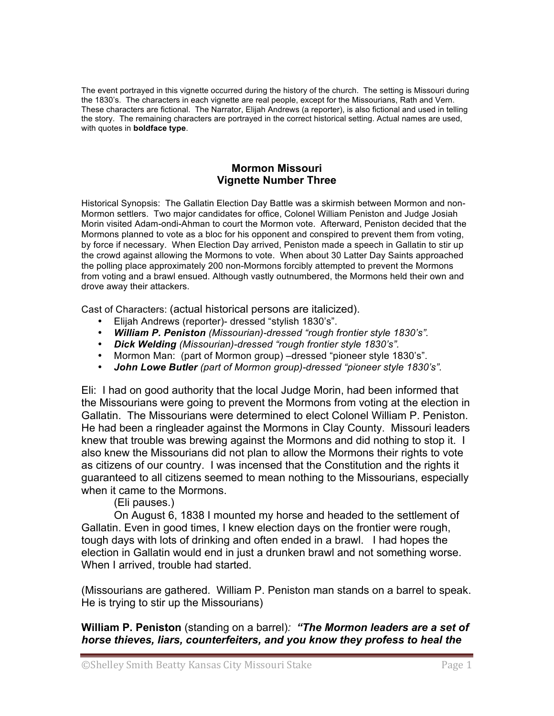The event portrayed in this vignette occurred during the history of the church. The setting is Missouri during the 1830's. The characters in each vignette are real people, except for the Missourians, Rath and Vern. These characters are fictional. The Narrator, Elijah Andrews (a reporter), is also fictional and used in telling the story. The remaining characters are portrayed in the correct historical setting. Actual names are used, with quotes in **boldface type**.

## **Mormon Missouri Vignette Number Three**

Historical Synopsis: The Gallatin Election Day Battle was a skirmish between Mormon and non-Mormon settlers. Two major candidates for office, Colonel William Peniston and Judge Josiah Morin visited Adam-ondi-Ahman to court the Mormon vote. Afterward, Peniston decided that the Mormons planned to vote as a bloc for his opponent and conspired to prevent them from voting, by force if necessary. When Election Day arrived, Peniston made a speech in Gallatin to stir up the crowd against allowing the Mormons to vote. When about 30 Latter Day Saints approached the polling place approximately 200 non-Mormons forcibly attempted to prevent the Mormons from voting and a brawl ensued. Although vastly outnumbered, the Mormons held their own and drove away their attackers.

Cast of Characters: (actual historical persons are italicized).

- Elijah Andrews (reporter)- dressed "stylish 1830's".
- *William P. Peniston (Missourian)-dressed "rough frontier style 1830's".*
- *Dick Welding (Missourian)-dressed "rough frontier style 1830's".*
- Mormon Man: (part of Mormon group) –dressed "pioneer style 1830's".
- *John Lowe Butler (part of Mormon group)-dressed "pioneer style 1830's".*

Eli: I had on good authority that the local Judge Morin, had been informed that the Missourians were going to prevent the Mormons from voting at the election in Gallatin. The Missourians were determined to elect Colonel William P. Peniston. He had been a ringleader against the Mormons in Clay County. Missouri leaders knew that trouble was brewing against the Mormons and did nothing to stop it. I also knew the Missourians did not plan to allow the Mormons their rights to vote as citizens of our country. I was incensed that the Constitution and the rights it guaranteed to all citizens seemed to mean nothing to the Missourians, especially when it came to the Mormons.

(Eli pauses.)

On August 6, 1838 I mounted my horse and headed to the settlement of Gallatin. Even in good times, I knew election days on the frontier were rough, tough days with lots of drinking and often ended in a brawl. I had hopes the election in Gallatin would end in just a drunken brawl and not something worse. When I arrived, trouble had started.

(Missourians are gathered. William P. Peniston man stands on a barrel to speak. He is trying to stir up the Missourians)

**William P. Peniston** (standing on a barrel)*: "The Mormon leaders are a set of horse thieves, liars, counterfeiters, and you know they profess to heal the*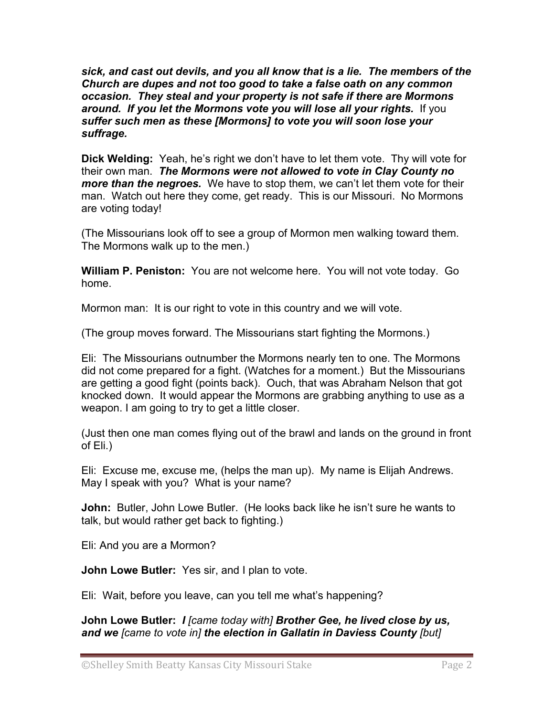*sick, and cast out devils, and you all know that is a lie. The members of the Church are dupes and not too good to take a false oath on any common occasion. They steal and your property is not safe if there are Mormons around. If you let the Mormons vote you will lose all your rights.* If you *suffer such men as these [Mormons] to vote you will soon lose your suffrage.*

**Dick Welding:** Yeah, he's right we don't have to let them vote. Thy will vote for their own man. *The Mormons were not allowed to vote in Clay County no more than the negroes.* We have to stop them, we can't let them vote for their man. Watch out here they come, get ready. This is our Missouri. No Mormons are voting today!

(The Missourians look off to see a group of Mormon men walking toward them. The Mormons walk up to the men.)

**William P. Peniston:** You are not welcome here. You will not vote today. Go home.

Mormon man: It is our right to vote in this country and we will vote.

(The group moves forward. The Missourians start fighting the Mormons.)

Eli: The Missourians outnumber the Mormons nearly ten to one. The Mormons did not come prepared for a fight. (Watches for a moment.) But the Missourians are getting a good fight (points back). Ouch, that was Abraham Nelson that got knocked down. It would appear the Mormons are grabbing anything to use as a weapon. I am going to try to get a little closer.

(Just then one man comes flying out of the brawl and lands on the ground in front of Eli.)

Eli: Excuse me, excuse me, (helps the man up). My name is Elijah Andrews. May I speak with you? What is your name?

**John:** Butler, John Lowe Butler. (He looks back like he isn't sure he wants to talk, but would rather get back to fighting.)

Eli: And you are a Mormon?

**John Lowe Butler:** Yes sir, and I plan to vote.

Eli: Wait, before you leave, can you tell me what's happening?

**John Lowe Butler:** *I [came today with] Brother Gee, he lived close by us, and we [came to vote in] the election in Gallatin in Daviess County [but]*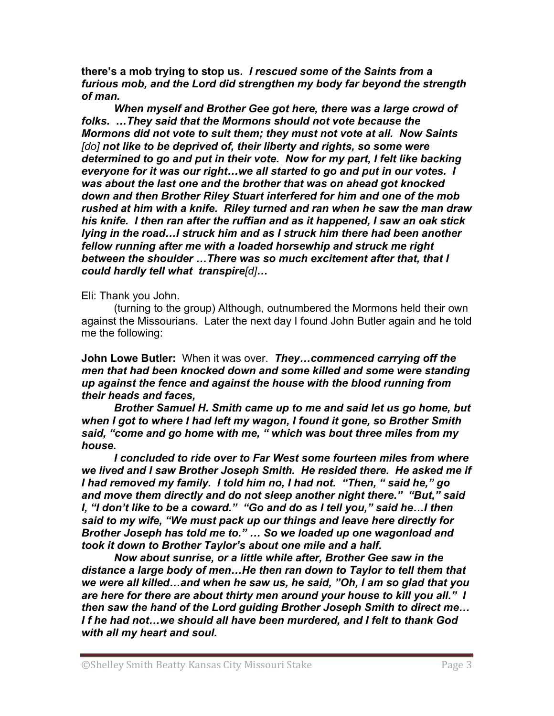**there's a mob trying to stop us***. I rescued some of the Saints from a furious mob, and the Lord did strengthen my body far beyond the strength of man.* 

*When myself and Brother Gee got here, there was a large crowd of folks. …They said that the Mormons should not vote because the Mormons did not vote to suit them; they must not vote at all. Now Saints [do] not like to be deprived of, their liberty and rights, so some were determined to go and put in their vote. Now for my part, I felt like backing everyone for it was our right…we all started to go and put in our votes. I was about the last one and the brother that was on ahead got knocked down and then Brother Riley Stuart interfered for him and one of the mob rushed at him with a knife. Riley turned and ran when he saw the man draw his knife. I then ran after the ruffian and as it happened, I saw an oak stick lying in the road…I struck him and as I struck him there had been another fellow running after me with a loaded horsewhip and struck me right between the shoulder …There was so much excitement after that, that I could hardly tell what transpire[d]…*

Eli: Thank you John.

(turning to the group) Although, outnumbered the Mormons held their own against the Missourians. Later the next day I found John Butler again and he told me the following:

**John Lowe Butler:** When it was over. *They…commenced carrying off the men that had been knocked down and some killed and some were standing up against the fence and against the house with the blood running from their heads and faces,* 

*Brother Samuel H. Smith came up to me and said let us go home, but when I got to where I had left my wagon, I found it gone, so Brother Smith said, "come and go home with me, " which was bout three miles from my house.* 

*I concluded to ride over to Far West some fourteen miles from where we lived and I saw Brother Joseph Smith. He resided there. He asked me if I had removed my family. I told him no, I had not. "Then, " said he," go and move them directly and do not sleep another night there." "But," said I, "I don't like to be a coward." "Go and do as I tell you," said he…I then said to my wife, "We must pack up our things and leave here directly for Brother Joseph has told me to." … So we loaded up one wagonload and took it down to Brother Taylor's about one mile and a half.*

*Now about sunrise, or a little while after, Brother Gee saw in the distance a large body of men…He then ran down to Taylor to tell them that we were all killed…and when he saw us, he said, "Oh, I am so glad that you are here for there are about thirty men around your house to kill you all." I then saw the hand of the Lord guiding Brother Joseph Smith to direct me… I f he had not…we should all have been murdered, and I felt to thank God with all my heart and soul.*